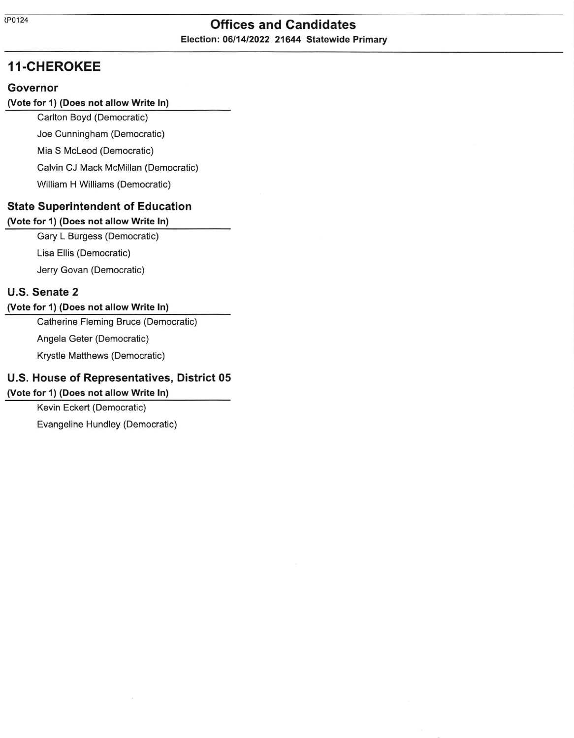# tPo124 Offices and Candidates Election: 06/14/2022 21644 Statewide Primary

# 11-CHEROKEE

#### Governor

#### Uote for 1) (Does not allow Write ln)

Carlton Boyd (Democratic) Joe Cunningham (Democratic)

Mia S Mcleod (Democratic)

Calvin CJ Mack McMillan (Democratic)

William H Williams (Democratic)

## State Superintendent of Education

#### (Vote for 1) (Does not allow Write ln)

Gary L Burgess (Democratic)

Lisa Ellis (Democratic)

Jerry Govan (Democratic)

## U.S. Senate 2

#### Uote for 1) (Does not allow Write ln)

Catherine Fleming Bruce (Democratic)

Angela Geter (Democratic)

Krystle Matthews (Democratic)

## U.S. House of Representatives, District 05

#### (Vote for 1) (Does not allow write ln)

Kevin Eckert (Democratic)

Evangeline Hundley (Democratic)